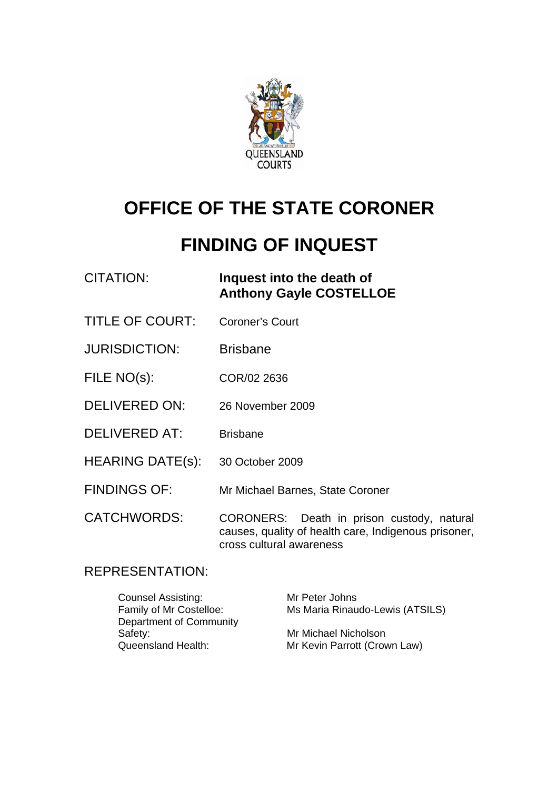

# **OFFICE OF THE STATE CORONER**

## **FINDING OF INQUEST**

| CITATION: | Inquest into the death of      |
|-----------|--------------------------------|
|           | <b>Anthony Gayle COSTELLOE</b> |

- TITLE OF COURT: Coroner's Court
- JURISDICTION: Brisbane
- FILE NO(s): COR/02 2636
- DELIVERED ON: 26 November 2009
- DELIVERED AT: Brisbane
- HEARING DATE(s): 30 October 2009
- FINDINGS OF: Mr Michael Barnes, State Coroner

CATCHWORDS: CORONERS: Death in prison custody, natural causes, quality of health care, Indigenous prisoner, cross cultural awareness

## REPRESENTATION:

Counsel Assisting: Mr Peter Johns Family of Mr Costelloe: Ms Maria Rinaudo-Lewis (ATSILS) Department of Community Safety: Mr Michael Nicholson<br>
Queensland Health: Mr Kevin Parrott (Crow Mr Kevin Parrott (Crown Law)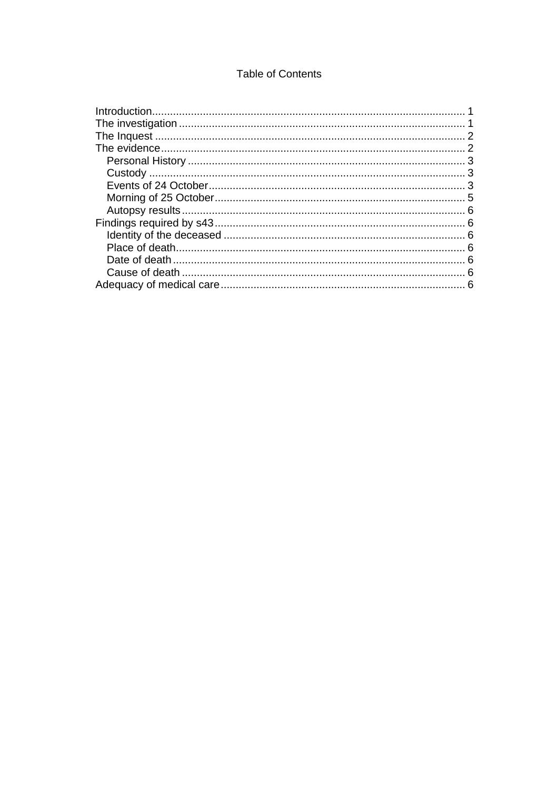## **Table of Contents**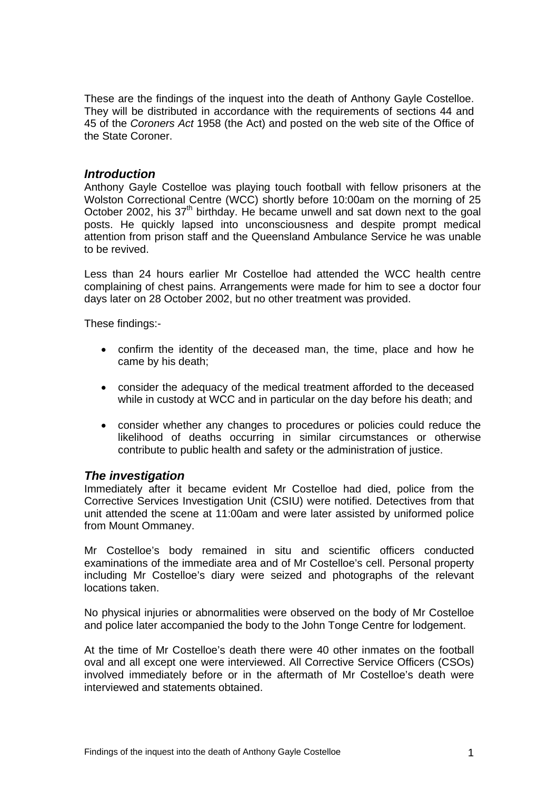<span id="page-2-0"></span>These are the findings of the inquest into the death of Anthony Gayle Costelloe. They will be distributed in accordance with the requirements of sections 44 and 45 of the *Coroners Act* 1958 (the Act) and posted on the web site of the Office of the State Coroner.

#### *Introduction*

Anthony Gayle Costelloe was playing touch football with fellow prisoners at the Wolston Correctional Centre (WCC) shortly before 10:00am on the morning of 25 October 2002, his  $37<sup>th</sup>$  birthday. He became unwell and sat down next to the goal posts. He quickly lapsed into unconsciousness and despite prompt medical attention from prison staff and the Queensland Ambulance Service he was unable to be revived.

Less than 24 hours earlier Mr Costelloe had attended the WCC health centre complaining of chest pains. Arrangements were made for him to see a doctor four days later on 28 October 2002, but no other treatment was provided.

These findings:-

- confirm the identity of the deceased man, the time, place and how he came by his death;
- consider the adequacy of the medical treatment afforded to the deceased while in custody at WCC and in particular on the day before his death; and
- consider whether any changes to procedures or policies could reduce the likelihood of deaths occurring in similar circumstances or otherwise contribute to public health and safety or the administration of justice.

#### *The investigation*

Immediately after it became evident Mr Costelloe had died, police from the Corrective Services Investigation Unit (CSIU) were notified. Detectives from that unit attended the scene at 11:00am and were later assisted by uniformed police from Mount Ommaney.

Mr Costelloe's body remained in situ and scientific officers conducted examinations of the immediate area and of Mr Costelloe's cell. Personal property including Mr Costelloe's diary were seized and photographs of the relevant locations taken.

No physical injuries or abnormalities were observed on the body of Mr Costelloe and police later accompanied the body to the John Tonge Centre for lodgement.

At the time of Mr Costelloe's death there were 40 other inmates on the football oval and all except one were interviewed. All Corrective Service Officers (CSOs) involved immediately before or in the aftermath of Mr Costelloe's death were interviewed and statements obtained.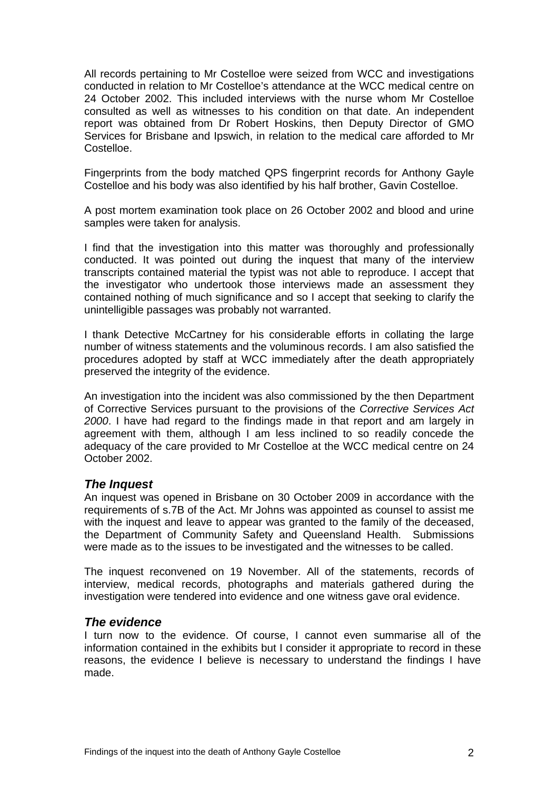<span id="page-3-0"></span>All records pertaining to Mr Costelloe were seized from WCC and investigations conducted in relation to Mr Costelloe's attendance at the WCC medical centre on 24 October 2002. This included interviews with the nurse whom Mr Costelloe consulted as well as witnesses to his condition on that date. An independent report was obtained from Dr Robert Hoskins, then Deputy Director of GMO Services for Brisbane and Ipswich, in relation to the medical care afforded to Mr Costelloe.

Fingerprints from the body matched QPS fingerprint records for Anthony Gayle Costelloe and his body was also identified by his half brother, Gavin Costelloe.

A post mortem examination took place on 26 October 2002 and blood and urine samples were taken for analysis.

I find that the investigation into this matter was thoroughly and professionally conducted. It was pointed out during the inquest that many of the interview transcripts contained material the typist was not able to reproduce. I accept that the investigator who undertook those interviews made an assessment they contained nothing of much significance and so I accept that seeking to clarify the unintelligible passages was probably not warranted.

I thank Detective McCartney for his considerable efforts in collating the large number of witness statements and the voluminous records. I am also satisfied the procedures adopted by staff at WCC immediately after the death appropriately preserved the integrity of the evidence.

An investigation into the incident was also commissioned by the then Department of Corrective Services pursuant to the provisions of the *Corrective Services Act 2000*. I have had regard to the findings made in that report and am largely in agreement with them, although I am less inclined to so readily concede the adequacy of the care provided to Mr Costelloe at the WCC medical centre on 24 October 2002.

#### *The Inquest*

An inquest was opened in Brisbane on 30 October 2009 in accordance with the requirements of s.7B of the Act. Mr Johns was appointed as counsel to assist me with the inquest and leave to appear was granted to the family of the deceased, the Department of Community Safety and Queensland Health. Submissions were made as to the issues to be investigated and the witnesses to be called.

The inquest reconvened on 19 November. All of the statements, records of interview, medical records, photographs and materials gathered during the investigation were tendered into evidence and one witness gave oral evidence.

#### *The evidence*

I turn now to the evidence. Of course, I cannot even summarise all of the information contained in the exhibits but I consider it appropriate to record in these reasons, the evidence I believe is necessary to understand the findings I have made.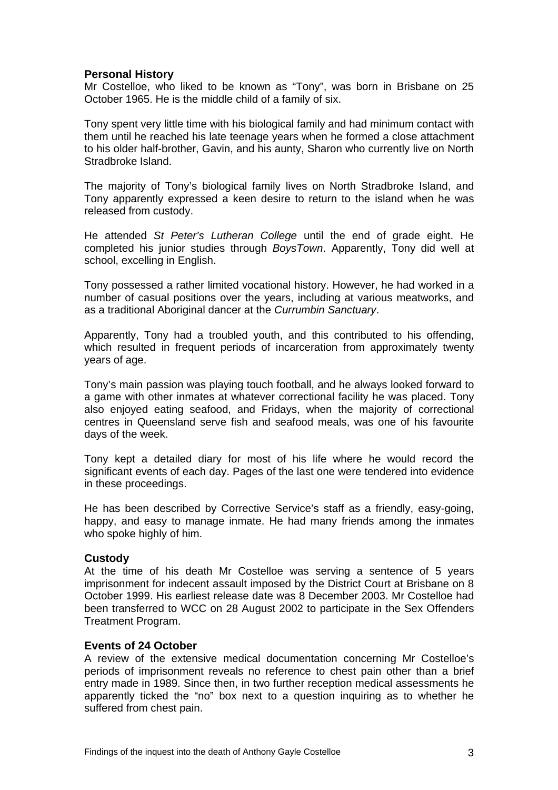#### <span id="page-4-0"></span>**Personal History**

Mr Costelloe, who liked to be known as "Tony", was born in Brisbane on 25 October 1965. He is the middle child of a family of six.

Tony spent very little time with his biological family and had minimum contact with them until he reached his late teenage years when he formed a close attachment to his older half-brother, Gavin, and his aunty, Sharon who currently live on North Stradbroke Island.

The majority of Tony's biological family lives on North Stradbroke Island, and Tony apparently expressed a keen desire to return to the island when he was released from custody.

He attended *St Peter's Lutheran College* until the end of grade eight. He completed his junior studies through *BoysTown*. Apparently, Tony did well at school, excelling in English.

Tony possessed a rather limited vocational history. However, he had worked in a number of casual positions over the years, including at various meatworks, and as a traditional Aboriginal dancer at the *Currumbin Sanctuary*.

Apparently, Tony had a troubled youth, and this contributed to his offending, which resulted in frequent periods of incarceration from approximately twenty years of age.

Tony's main passion was playing touch football, and he always looked forward to a game with other inmates at whatever correctional facility he was placed. Tony also enjoyed eating seafood, and Fridays, when the majority of correctional centres in Queensland serve fish and seafood meals, was one of his favourite days of the week.

Tony kept a detailed diary for most of his life where he would record the significant events of each day. Pages of the last one were tendered into evidence in these proceedings.

He has been described by Corrective Service's staff as a friendly, easy-going, happy, and easy to manage inmate. He had many friends among the inmates who spoke highly of him.

#### **Custody**

At the time of his death Mr Costelloe was serving a sentence of 5 years imprisonment for indecent assault imposed by the District Court at Brisbane on 8 October 1999. His earliest release date was 8 December 2003. Mr Costelloe had been transferred to WCC on 28 August 2002 to participate in the Sex Offenders Treatment Program.

#### **Events of 24 October**

A review of the extensive medical documentation concerning Mr Costelloe's periods of imprisonment reveals no reference to chest pain other than a brief entry made in 1989. Since then, in two further reception medical assessments he apparently ticked the "no" box next to a question inquiring as to whether he suffered from chest pain.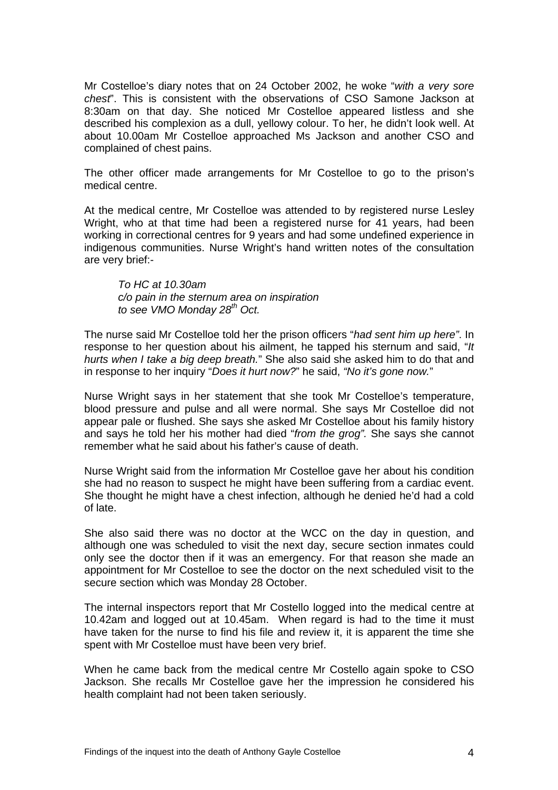Mr Costelloe's diary notes that on 24 October 2002, he woke "*with a very sore chest*". This is consistent with the observations of CSO Samone Jackson at 8:30am on that day. She noticed Mr Costelloe appeared listless and she described his complexion as a dull, yellowy colour. To her, he didn't look well. At about 10.00am Mr Costelloe approached Ms Jackson and another CSO and complained of chest pains.

The other officer made arrangements for Mr Costelloe to go to the prison's medical centre.

At the medical centre, Mr Costelloe was attended to by registered nurse Lesley Wright, who at that time had been a registered nurse for 41 years, had been working in correctional centres for 9 years and had some undefined experience in indigenous communities. Nurse Wright's hand written notes of the consultation are very brief:-

*To HC at 10.30am c/o pain in the sternum area on inspiration*  to see VMO Monday 28<sup>th</sup> Oct.

The nurse said Mr Costelloe told her the prison officers "*had sent him up here"*. In response to her question about his ailment, he tapped his sternum and said, "*It hurts when I take a big deep breath.*" She also said she asked him to do that and in response to her inquiry "*Does it hurt now?*" he said, *"No it's gone now.*"

Nurse Wright says in her statement that she took Mr Costelloe's temperature, blood pressure and pulse and all were normal. She says Mr Costelloe did not appear pale or flushed. She says she asked Mr Costelloe about his family history and says he told her his mother had died "*from the grog".* She says she cannot remember what he said about his father's cause of death.

Nurse Wright said from the information Mr Costelloe gave her about his condition she had no reason to suspect he might have been suffering from a cardiac event. She thought he might have a chest infection, although he denied he'd had a cold of late.

She also said there was no doctor at the WCC on the day in question, and although one was scheduled to visit the next day, secure section inmates could only see the doctor then if it was an emergency. For that reason she made an appointment for Mr Costelloe to see the doctor on the next scheduled visit to the secure section which was Monday 28 October.

The internal inspectors report that Mr Costello logged into the medical centre at 10.42am and logged out at 10.45am. When regard is had to the time it must have taken for the nurse to find his file and review it, it is apparent the time she spent with Mr Costelloe must have been very brief.

When he came back from the medical centre Mr Costello again spoke to CSO Jackson. She recalls Mr Costelloe gave her the impression he considered his health complaint had not been taken seriously.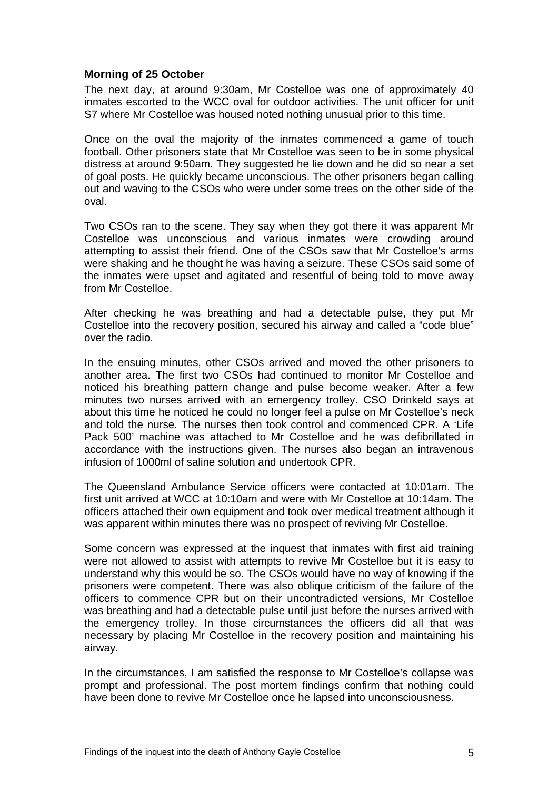#### <span id="page-6-0"></span>**Morning of 25 October**

The next day, at around 9:30am, Mr Costelloe was one of approximately 40 inmates escorted to the WCC oval for outdoor activities. The unit officer for unit S7 where Mr Costelloe was housed noted nothing unusual prior to this time.

Once on the oval the majority of the inmates commenced a game of touch football. Other prisoners state that Mr Costelloe was seen to be in some physical distress at around 9:50am. They suggested he lie down and he did so near a set of goal posts. He quickly became unconscious. The other prisoners began calling out and waving to the CSOs who were under some trees on the other side of the oval.

Two CSOs ran to the scene. They say when they got there it was apparent Mr Costelloe was unconscious and various inmates were crowding around attempting to assist their friend. One of the CSOs saw that Mr Costelloe's arms were shaking and he thought he was having a seizure. These CSOs said some of the inmates were upset and agitated and resentful of being told to move away from Mr Costelloe.

After checking he was breathing and had a detectable pulse, they put Mr Costelloe into the recovery position, secured his airway and called a "code blue" over the radio.

In the ensuing minutes, other CSOs arrived and moved the other prisoners to another area. The first two CSOs had continued to monitor Mr Costelloe and noticed his breathing pattern change and pulse become weaker. After a few minutes two nurses arrived with an emergency trolley. CSO Drinkeld says at about this time he noticed he could no longer feel a pulse on Mr Costelloe's neck and told the nurse. The nurses then took control and commenced CPR. A 'Life Pack 500' machine was attached to Mr Costelloe and he was defibrillated in accordance with the instructions given. The nurses also began an intravenous infusion of 1000ml of saline solution and undertook CPR.

The Queensland Ambulance Service officers were contacted at 10:01am. The first unit arrived at WCC at 10:10am and were with Mr Costelloe at 10:14am. The officers attached their own equipment and took over medical treatment although it was apparent within minutes there was no prospect of reviving Mr Costelloe.

Some concern was expressed at the inquest that inmates with first aid training were not allowed to assist with attempts to revive Mr Costelloe but it is easy to understand why this would be so. The CSOs would have no way of knowing if the prisoners were competent. There was also oblique criticism of the failure of the officers to commence CPR but on their uncontradicted versions, Mr Costelloe was breathing and had a detectable pulse until just before the nurses arrived with the emergency trolley. In those circumstances the officers did all that was necessary by placing Mr Costelloe in the recovery position and maintaining his airway.

In the circumstances, I am satisfied the response to Mr Costelloe's collapse was prompt and professional. The post mortem findings confirm that nothing could have been done to revive Mr Costelloe once he lapsed into unconsciousness.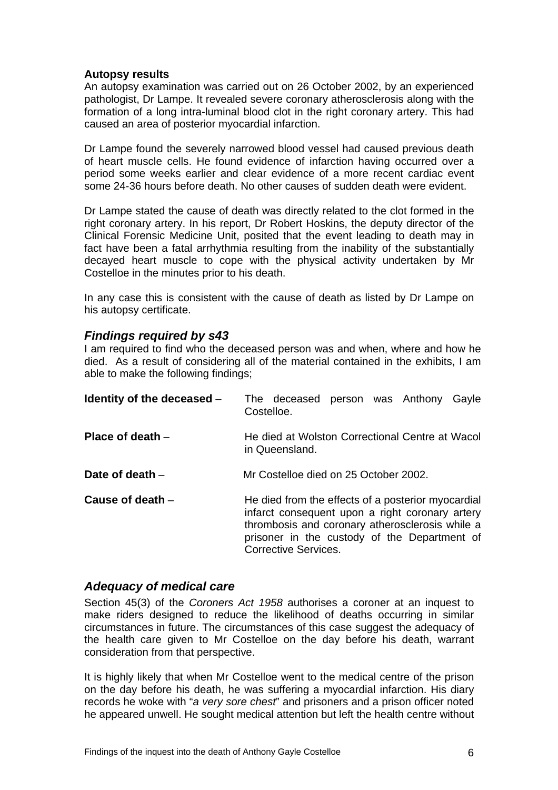#### <span id="page-7-0"></span>**Autopsy results**

An autopsy examination was carried out on 26 October 2002, by an experienced pathologist, Dr Lampe. It revealed severe coronary atherosclerosis along with the formation of a long intra-luminal blood clot in the right coronary artery. This had caused an area of posterior myocardial infarction.

Dr Lampe found the severely narrowed blood vessel had caused previous death of heart muscle cells. He found evidence of infarction having occurred over a period some weeks earlier and clear evidence of a more recent cardiac event some 24-36 hours before death. No other causes of sudden death were evident.

Dr Lampe stated the cause of death was directly related to the clot formed in the right coronary artery. In his report, Dr Robert Hoskins, the deputy director of the Clinical Forensic Medicine Unit, posited that the event leading to death may in fact have been a fatal arrhythmia resulting from the inability of the substantially decayed heart muscle to cope with the physical activity undertaken by Mr Costelloe in the minutes prior to his death.

In any case this is consistent with the cause of death as listed by Dr Lampe on his autopsy certificate.

#### *Findings required by s43*

I am required to find who the deceased person was and when, where and how he died. As a result of considering all of the material contained in the exhibits, I am able to make the following findings;

| Identity of the deceased - | The deceased person was Anthony Gayle<br>Costelloe.                                                                                                                                                                                     |
|----------------------------|-----------------------------------------------------------------------------------------------------------------------------------------------------------------------------------------------------------------------------------------|
| Place of death $-$         | He died at Wolston Correctional Centre at Wacol<br>in Queensland.                                                                                                                                                                       |
| Date of death $-$          | Mr Costelloe died on 25 October 2002.                                                                                                                                                                                                   |
| Cause of death $-$         | He died from the effects of a posterior myocardial<br>infarct consequent upon a right coronary artery<br>thrombosis and coronary atherosclerosis while a<br>prisoner in the custody of the Department of<br><b>Corrective Services.</b> |

#### *Adequacy of medical care*

Section 45(3) of the *Coroners Act 1958* authorises a coroner at an inquest to make riders designed to reduce the likelihood of deaths occurring in similar circumstances in future. The circumstances of this case suggest the adequacy of the health care given to Mr Costelloe on the day before his death, warrant consideration from that perspective.

It is highly likely that when Mr Costelloe went to the medical centre of the prison on the day before his death, he was suffering a myocardial infarction. His diary records he woke with "*a very sore chest*" and prisoners and a prison officer noted he appeared unwell. He sought medical attention but left the health centre without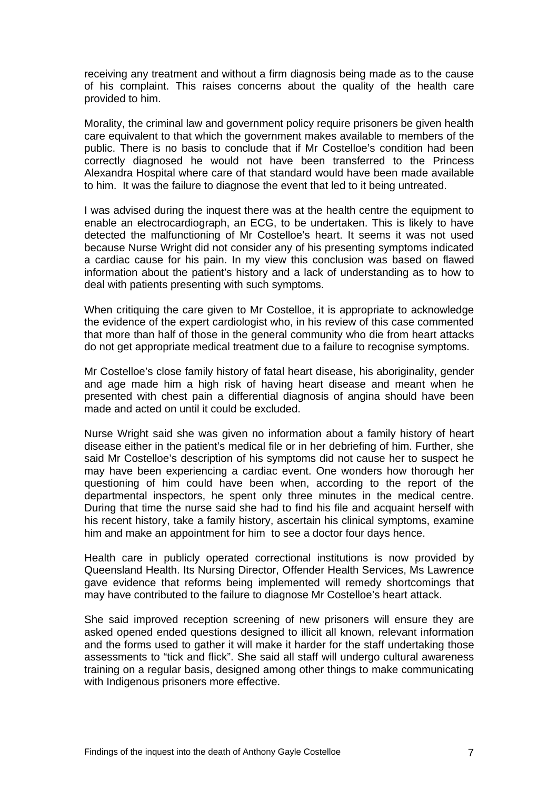receiving any treatment and without a firm diagnosis being made as to the cause of his complaint. This raises concerns about the quality of the health care provided to him.

Morality, the criminal law and government policy require prisoners be given health care equivalent to that which the government makes available to members of the public. There is no basis to conclude that if Mr Costelloe's condition had been correctly diagnosed he would not have been transferred to the Princess Alexandra Hospital where care of that standard would have been made available to him. It was the failure to diagnose the event that led to it being untreated.

I was advised during the inquest there was at the health centre the equipment to enable an electrocardiograph, an ECG, to be undertaken. This is likely to have detected the malfunctioning of Mr Costelloe's heart. It seems it was not used because Nurse Wright did not consider any of his presenting symptoms indicated a cardiac cause for his pain. In my view this conclusion was based on flawed information about the patient's history and a lack of understanding as to how to deal with patients presenting with such symptoms.

When critiquing the care given to Mr Costelloe, it is appropriate to acknowledge the evidence of the expert cardiologist who, in his review of this case commented that more than half of those in the general community who die from heart attacks do not get appropriate medical treatment due to a failure to recognise symptoms.

Mr Costelloe's close family history of fatal heart disease, his aboriginality, gender and age made him a high risk of having heart disease and meant when he presented with chest pain a differential diagnosis of angina should have been made and acted on until it could be excluded.

Nurse Wright said she was given no information about a family history of heart disease either in the patient's medical file or in her debriefing of him. Further, she said Mr Costelloe's description of his symptoms did not cause her to suspect he may have been experiencing a cardiac event. One wonders how thorough her questioning of him could have been when, according to the report of the departmental inspectors, he spent only three minutes in the medical centre. During that time the nurse said she had to find his file and acquaint herself with his recent history, take a family history, ascertain his clinical symptoms, examine him and make an appointment for him to see a doctor four days hence.

Health care in publicly operated correctional institutions is now provided by Queensland Health. Its Nursing Director, Offender Health Services, Ms Lawrence gave evidence that reforms being implemented will remedy shortcomings that may have contributed to the failure to diagnose Mr Costelloe's heart attack.

She said improved reception screening of new prisoners will ensure they are asked opened ended questions designed to illicit all known, relevant information and the forms used to gather it will make it harder for the staff undertaking those assessments to "tick and flick". She said all staff will undergo cultural awareness training on a regular basis, designed among other things to make communicating with Indigenous prisoners more effective.